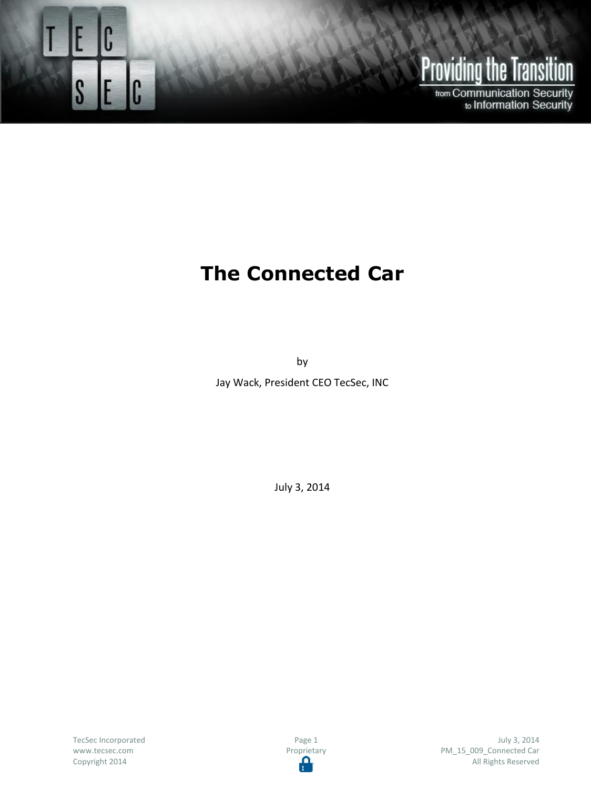

## **Providing the Transition**

from Communication Security<br>to Information Security

## **The Connected Car**

by

Jay Wack, President CEO TecSec, INC

July 3, 2014

TecSec Incorporated www.tecsec.com Copyright 2014

Page 1 Proprietary<br> **Proprietary** 

July 3, 2014 PM\_15\_009\_Connected Car All Rights Reserved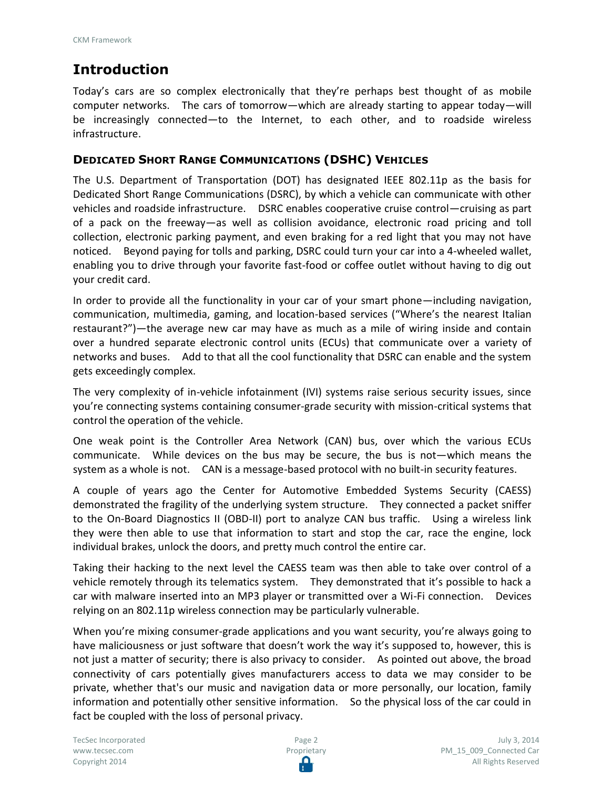## **Introduction**

Today's cars are so complex electronically that they're perhaps best thought of as mobile computer networks. The cars of tomorrow—which are already starting to appear today—will be increasingly connected—to the Internet, to each other, and to roadside wireless infrastructure.

## **DEDICATED SHORT RANGE COMMUNICATIONS (DSHC) VEHICLES**

The U.S. Department of Transportation (DOT) has designated IEEE 802.11p as the basis for Dedicated Short Range Communications (DSRC), by which a vehicle can communicate with other vehicles and roadside infrastructure. DSRC enables cooperative cruise control—cruising as part of a pack on the freeway—as well as collision avoidance, electronic road pricing and toll collection, electronic parking payment, and even braking for a red light that you may not have noticed. Beyond paying for tolls and parking, DSRC could turn your car into a 4-wheeled wallet, enabling you to drive through your favorite fast-food or coffee outlet without having to dig out your credit card.

In order to provide all the functionality in your car of your smart phone—including navigation, communication, multimedia, gaming, and location-based services ("Where's the nearest Italian restaurant?")—the average new car may have as much as a mile of wiring inside and contain over a hundred separate electronic control units (ECUs) that communicate over a variety of networks and buses. Add to that all the cool functionality that DSRC can enable and the system gets exceedingly complex.

The very complexity of in-vehicle infotainment (IVI) systems raise serious security issues, since you're connecting systems containing consumer-grade security with mission-critical systems that control the operation of the vehicle.

One weak point is the Controller Area Network (CAN) bus, over which the various ECUs communicate. While devices on the bus may be secure, the bus is not—which means the system as a whole is not. CAN is a message-based protocol with no built-in security features.

A couple of years ago the Center for Automotive Embedded Systems Security (CAESS) demonstrated the fragility of the underlying system structure. They connected a packet sniffer to the On-Board Diagnostics II (OBD-II) port to analyze CAN bus traffic. Using a wireless link they were then able to use that information to start and stop the car, race the engine, lock individual brakes, unlock the doors, and pretty much control the entire car.

Taking their hacking to the next level the CAESS team was then able to take over control of a vehicle remotely through its telematics system. They demonstrated that it's possible to hack a car with malware inserted into an MP3 player or transmitted over a Wi-Fi connection. Devices relying on an 802.11p wireless connection may be particularly vulnerable.

When you're mixing consumer-grade applications and you want security, you're always going to have maliciousness or just software that doesn't work the way it's supposed to, however, this is not just a matter of security; there is also privacy to consider. As pointed out above, the broad connectivity of cars potentially gives manufacturers access to data we may consider to be private, whether that's our music and navigation data or more personally, our location, family information and potentially other sensitive information. So the physical loss of the car could in fact be coupled with the loss of personal privacy.

TecSec Incorporated www.tecsec.com Copyright 2014